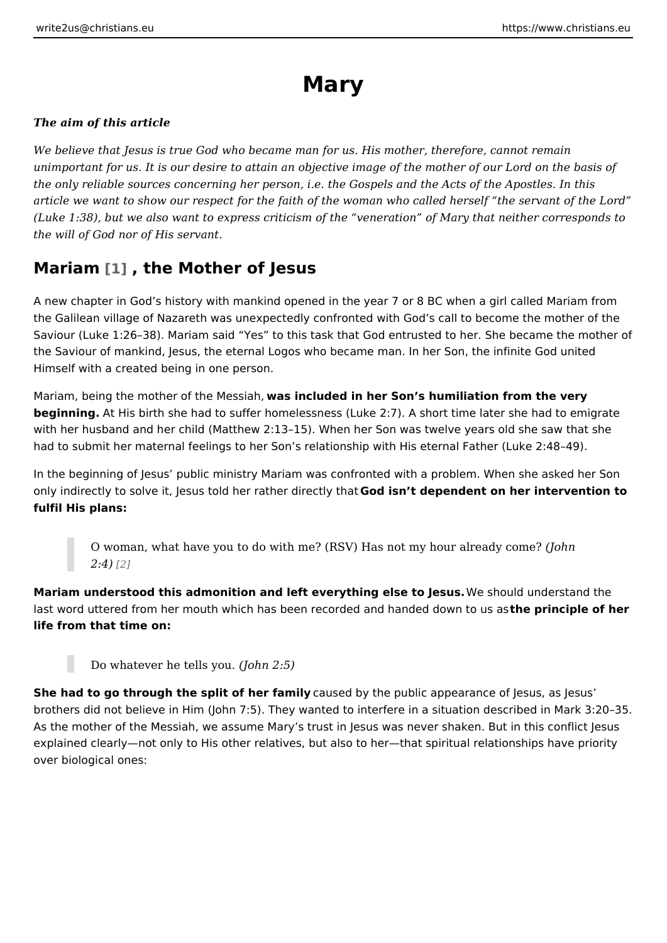# Mary

The aim of this article

We believe that Jesus is true God who became man for us. His mother, therefore unimportant for us. It is our desire to attain an objective image of the mother of the only reliable sources concerning her person, i.e. the Gospels and the Acts o article we want to show our respect for the faith of the woman who called hersel (Luke 1:38), but we also want to express criticism of the veneration of Mary th the will of God nor of His servant.

## Mariam<sup>[1]</sup>, the Mother of Jesus

A new chapter in God s history with mankind opened in the year 7 or 8 BC when the Galilean village of Nazareth was unexpectedly confronted with God s call to Saviour (Luke 1:26 38). Mariam said Yes to this task that God entrusted to her the Saviour of mankind, Jesus, the eternal Logos who became man. In her Son, t Himself with a created being in one person.

Mariam, being the mother of thweas Menscsliuached in her Son s humiliation from the very beginning At His birth she had to suffer homelessness (Luke 2:7). A short time la with her husband and her child (Matthew 2:13 15). When her Son was twelve yea had to submit her maternal feelings to her Son s relationship with His eternal Fa

In the beginning of Jesus public ministry Mariam was confronted with a problem only indirectly to solve it, Jesus told her Geotoheisnditred eetply antoheant on her intervention fulfil His plans:

O woman, what have you to do with me? (RSV) Has not myJbbur already  $2:4$ )  $[2]$ 

Mariam understood this admonition and left everything ell we stood bot was derstand the last word uttered from her mouth which has been recorded antohen aper dreadipdle wonf thoe u life from that time on:

Do whatever he tells own  $2:5$ )

She had to go through the split of heaufamdlby the public appearance of Jesus, a brothers did not believe in Him (John 7:5). They wanted to interfere in a situation As the mother of the Messiah, we assume Mary s trust in Jesus was never shake explained clearly not only to His other relatives, but also to her that spiritual re over biological ones: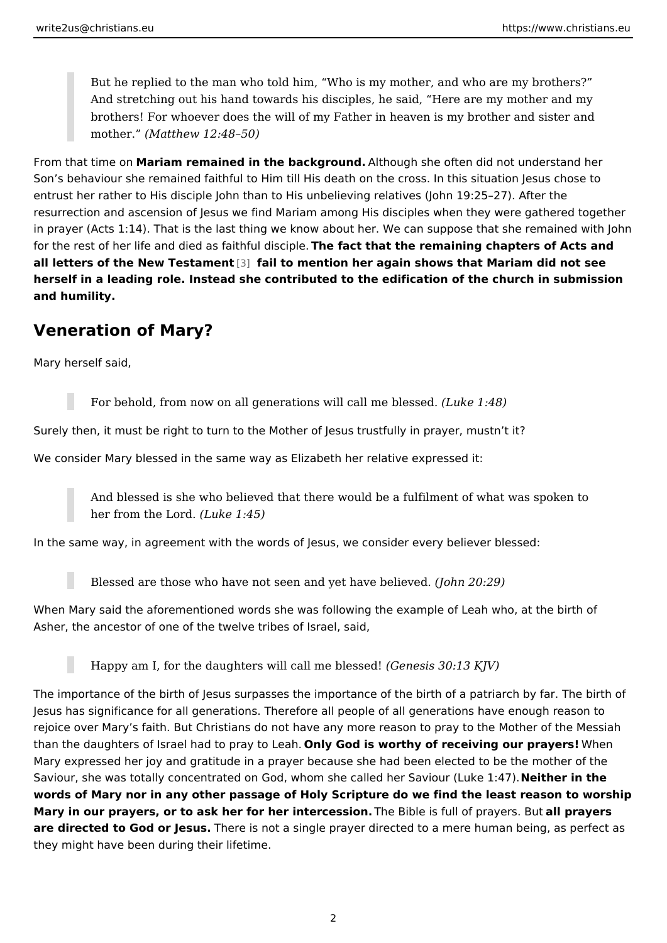But he replied to the man who told him, Who is my mother, and who are And stretching out his hand towards his disciples, he said, Here are my brothers! For whoever does the will of my Father in heaven is my brothe  $m$ other (Matthew 12:48 50)

From that tim Me acroniam remained in the background modugh she often did not understand Son s behaviour she remained faithful to Him till His death on the cross. In this entrust her rather to His disciple John than to His unbelieving relatives (John 19: resurrection and ascension of Jesus we find Mariam among His disciples when th in prayer (Acts 1:14). That is the last thing we know about her. We can suppose for the rest of her life and died as flahiehful tidibait piloe remaining chapters of Acts all letters of the New Te[stam](#page-6-0) fearit to mention her again shows that Mariam did not herself in a leading role. Instead she contributed to the edification of the churcl and humility.

#### Veneration of Mary?

Mary herself said,

For behold, from now on all generations will ( cakle mie 4t8l) essed. Surely then, it must be right to turn to the Mother of Jesus trustfully in prayer, We consider Mary blessed in the same way as Elizabeth her relative expressed i

And blessed is she who believed that there would be a fulfilment of wha her from the  $L(d$  nucke 1:45)

In the same way, in agreement with the words of Jesus, we consider every believ

Blessed are those who have not seen and  $y$  (edo have  $20$  believed.

When Mary said the aforementioned words she was following the example of Leal Asher, the ancestor of one of the twelve tribes of Israel, said,

Happy am I, for the daughters will ca( $G$  enree bles  $S$ s $Oe$ : d! $3$  KJV)

The importance of the birth of Jesus surpasses the importance of the birth of a patriarch by far. Jesus has significance for all generations. Therefore all people of all generation rejoice over Mary s faith. But Christians do not have any more reason to pray to than the daughters of Israel had to Oppilay Giord Liosalworthy of receiving our Wolhaevhers! Mary expressed her joy and gratitude in a prayer because she had been elected Saviour, she was totally concentrated on God, whom she calle N chien eSain other (Luk words of Mary nor in any other passage of Holy Scripture do we find the least re Mary in our prayers, or to ask her for her inThe ecessionalis full of praylepsayBeuts are directed to God or Jesus. is not a single prayer directed to a mere human bei they might have been during their lifetime.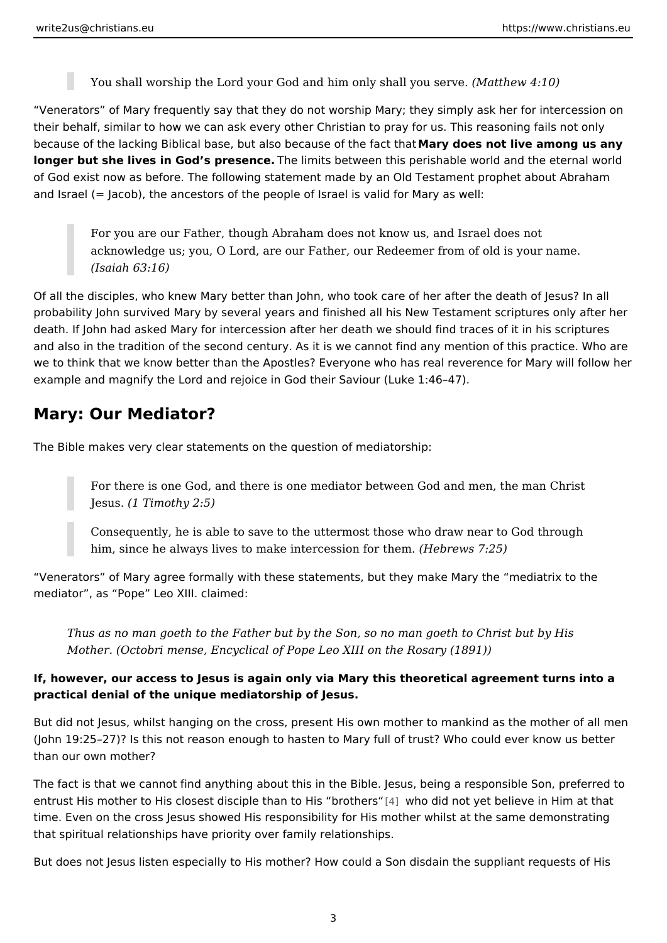You shall worship the Lord your God and him on(Matthew 4u1904rve.

Venerators of Mary frequently say that they do not worship Mary; they simply a their behalf, similar to how we can ask every other Christian to pray for us. This because of the lacking Biblical base, but also be Maaursyed of the offalcity of haam ong us an longer but she lives in God s presencents between this perishable world and the of God exist now as before. The following statement made by an Old Testament p and Israel (= Jacob), the ancestors of the people of Israel is valid for Mary as w

For you are our Father, though Abraham does not know us, and Israel do acknowledge us; you, O Lord, are our Father, our Redeemer from of old (Isaiah 63:16)

Of all the disciples, who knew Mary better than John, who took care of her after probability John survived Mary by several years and finished all his New Testam death. If John had asked Mary for intercession after her death we should find tra and also in the tradition of the second century. As it is we cannot find any ment we to think that we know better than the Apostles? Everyone who has real revere example and magnify the Lord and rejoice in God their Saviour (Luke 1:46 47).

### Mary: Our Mediator?

The Bible makes very clear statements on the question of mediatorship:

For there is one God, and there is one mediator between God and men,  $Jesu$ \$1 Timothy 2:5)

Consequently, he is able to save to the uttermost those who draw near him, since he always lives to make interc $e$ tsborews  $r$ them.

Venerators of Mary agree formally with these statements, but they make Mary t mediator , as Pope Leo XIII. claimed:

Thus as no man goeth to the Father but by the Son, so no man goeth to Ch Mother. (Octobri mense, Encyclical of Pope Leo XIII on the Rosary (1891))

If, however, our access to Jesus is again only via Mary this theoretical agreeme practical denial of the unique mediatorship of Jesus.

But did not Jesus, whilst hanging on the cross, present His own mother to manki (John 19:25 27)? Is this not reason enough to hasten to Mary full of trust? Who than our own mother?

The fact is that we cannot find anything about this in the Bible. Jesus, being a r entrust His mother to His closest disciple tha $|4|$  two hid id not there is believe in Him at time. Even on the cross Jesus showed His responsibility for His mother whilst at that spiritual relationships have priority over family relationships.

But does not Jesus listen especially to His mother? How could a Son disdain the

3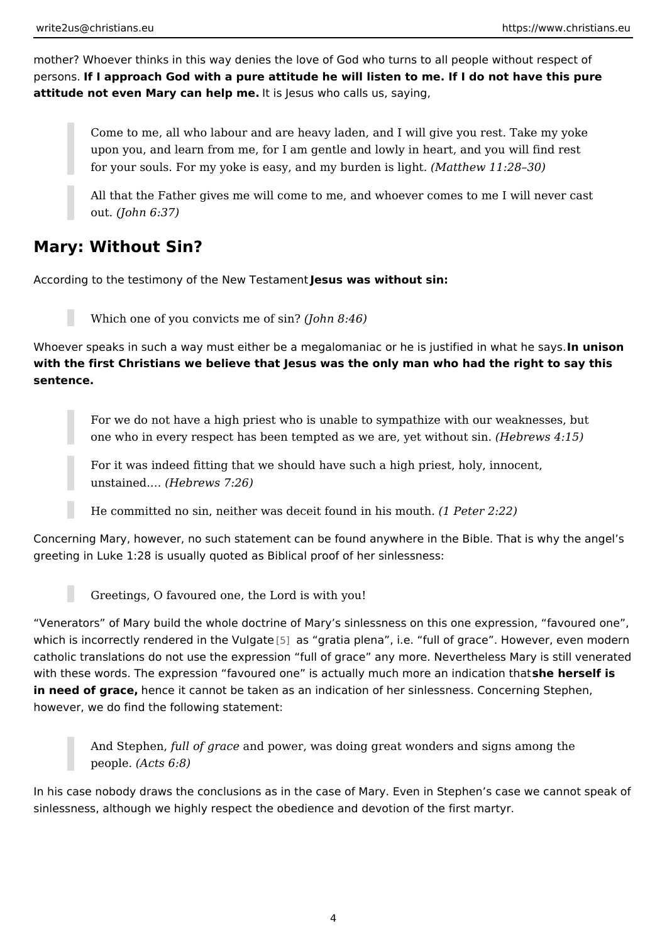mother? Whoever thinks in this way denies the love of God who turns to all peop persons. I approach God with a pure attitude he will listen to me. If I do not have attitude not even Mary can heltpismedsus who calls us, saying,

Come to me, all who labour and are heavy laden, and I will give you res upon you, and learn from me, for I am gentle and lowly in heart, and yo for your souls. For my yoke is easy, and  $m \sqrt{M}$ bautthew its 112 $\beta$ h 8.0)

All that the Father gives me will come to me, and whoever comes to me  $out(John 6:37)$ 

## Mary: Without Sin?

According to the testimony of the News Uss was mewithout sin:

Which one of you convicts (nules horf 8i48)

Whoever speaks in such a way must either be a megalomaniac or he lins unist of med in with the first Christians we believe that Jesus was the only man who had the rig sentence.

For we do not have a high priest who is unable to sympathize with our v one who in every respect has been tempted as we a Hee, by ew with ho 5u)t sin.

For it was indeed fitting that we should have such a high priest, holy, i unstained.  $\&$  ebrews  $7:26$ )

He committed no sin, neither was deceit fou(md Pieters2m2o2u)th.

Concerning Mary, however, no such statement can be found anywhere in the Bibl greeting in Luke 1:28 is usually quoted as Biblical proof of her sinlessness:

Greetings, O favoured one, the Lord is with you!

Venerators of Mary build the whole doctrine of Mary s sinlessness on this one which is incorrectly rendered in  $5$ ] thes Vg tgatitae plena, i.e. full of grace. However, catholic translations do not use the expression full of grace any more. Neverth with these words. The expression favoured one is actually mucsthem beerseen finsdication that indication that indication favoured in that is actually mucsthem beerseen finsdication that is actually mucsthem indication with in need of grabence it cannot be taken as an indication of her sinlessness. Conc however, we do find the following statement:

And Stepheun, of graacned power, was doing great wonders and signs amon  $peopl@Acts$  6:8)

In his case nobody draws the conclusions as in the case of Mary. Even in Stephe sinlessness, although we highly respect the obedience and devotion of the first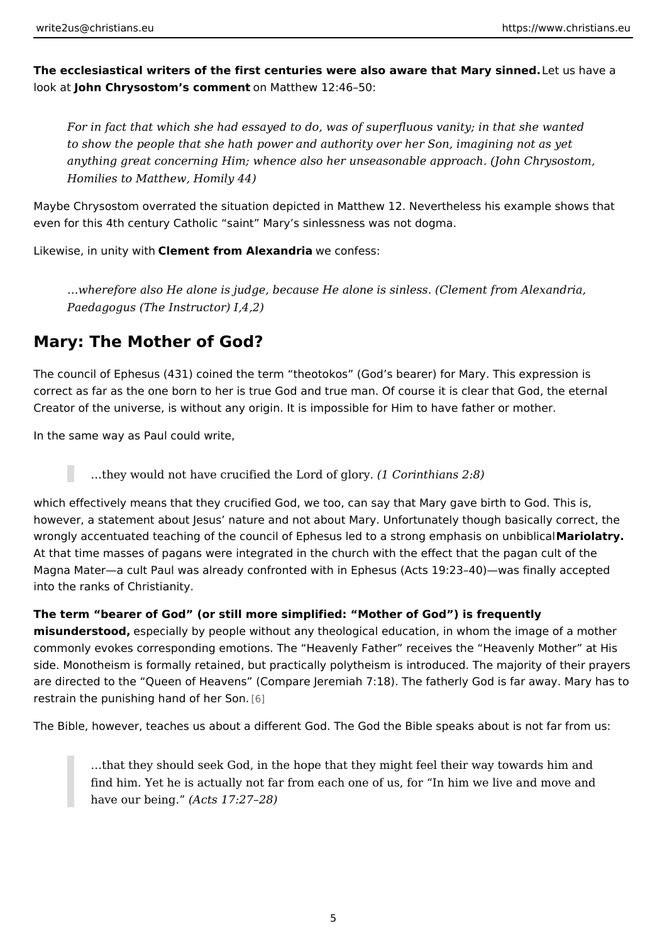The ecclesiastical writers of the first centuries were also aware theatume ahrave imane look altohn Chrysostom s comment Matthew 12:46 50:

For in fact that which she had essayed to do, was of superfluous vanity; in to show the people that she hath power and authority over her Son, imagin anything great concerning Him; whence also her unseasonable approach. (, Homilies to Matthew, Homily 44)

Maybe Chrysostom overrated the situation depicted in Matthew 12. Nevertheless even for this 4th century Catholic saint Mary s sinlessness was not dogma.

Likewise, in unitCylewmitchnt from Alexandreia confess:

&wherefore also He alone is judge, because He alone is sinless. (Clement Paedagogus (The Instructor) I,4,2)

## Mary: The Mother of God?

The council of Ephesus (431) coined the term theotokos (God s bearer) for Mar correct as far as the one born to her is true God and true man. Of course it is cl Creator of the universe, is without any origin. It is impossible for Him to have father

In the same way as Paul could write,

& they would not have crucified the  $L$ (dr $C$  corfingthoiray ns 2:8)

which effectively means that they crucified God, we too, can say that Mary gave however, a statement about Jesus nature and not about Mary. Unfortunately tho wrongly accentuated teaching of the council of Ephesus led to a stMoangoeantpyhasis At that time masses of pagans were integrated in the church with the effect that Magna Mater a cult Paul was already confronted with in Ephesus (Acts 19:23 40) into the ranks of Christianity.

The term bearer of God (or still more simplified: Mother of God ) is frequently misunderstoodspecially by people without any theological education, in whom the commonly evokes corresponding emotions. The Heavenly Father receives the H side. Monotheism is formally retained, but practically polytheism is introduced. are directed to the Queen of Heavens (Compare Jeremiah 7:18). The fatherly G restrain the punishing hand [6]f her Son.

The Bible, however, teaches us about a different God. The God the Bible speaks

&that they should seek God, in the hope that they might feel their way t find him. Yet he is actually not far from each one of us, for In him we have our beinagcts  $17:27$  28)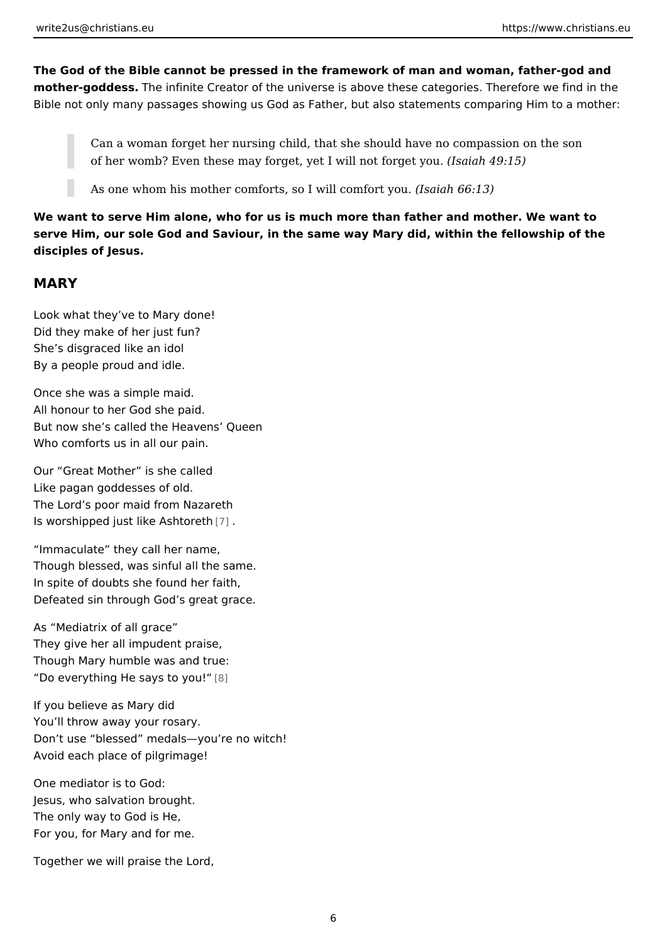The God of the Bible cannot be pressed in the framework of man and woman, fat mother-goddes The infinite Creator of the universe is above these categories. The Bible not only many passages showing us God as Father, but also statements com

Can a woman forget her nursing child, that she should have no compass of her womb? Even these may forget, yet I willlsabathfoligget byou.

As one whom his mother comforts, so I w(Isaciaanh  $66t:1/30$ u.

We want to serve Him alone, who for us is much more than father and mother. W serve Him, our sole God and Saviour, in the same way Mary did, within the fellow disciples of Jesus.

## MARY

Look what they ve to Mary done! Did they make of her just fun? She s disgraced like an idol By a people proud and idle.

Once she was a simple maid. All honour to her God she paid. But now she s called the Heavens Queen Who comforts us in all our pain.

Our Great Mother is she called Like pagan goddesses of old. The Lord s poor maid from Nazareth Is worshipped just like [As](#page-6-0)htoreth

 Immaculate they call her name, Though blessed, was sinful all the same. In spite of doubts she found her faith, Defeated sin through God s great grace.

As Mediatrix of all grace They give her all impudent praise, Though Mary humble was and true: Do everything He says  $[8]$ o you!

If you believe as Mary did You ll throw away your rosary. Don t use blessed medals you re no witch! Avoid each place of pilgrimage!

One mediator is to God: Jesus, who salvation brought. The only way to God is He, For you, for Mary and for me.

Together we will praise the Lord,